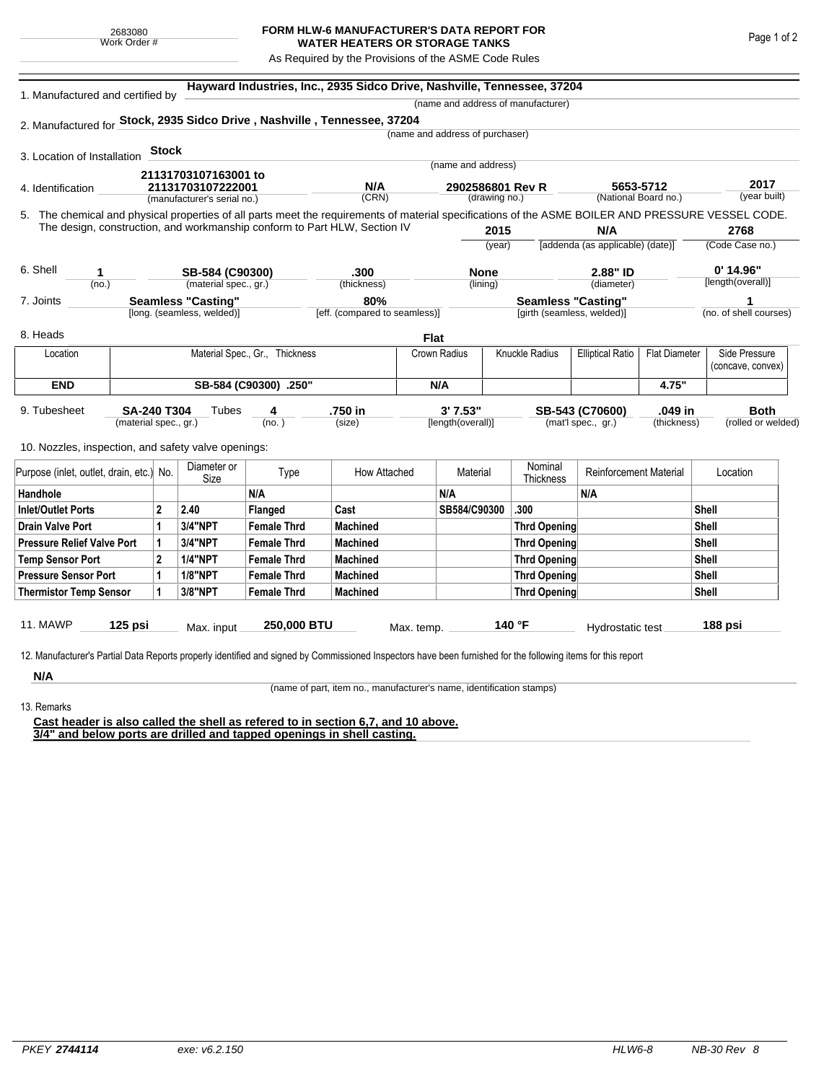## **FORM HLW-6 MANUFACTURER'S DATA REPORT FOR WATER HEATERS OR STORAGE TANKS**

As Required by the Provisions of the ASME Code Rules

| 1. Manufactured and certified by                                                                                                                   |                           |              | Hayward Industries, Inc., 2935 Sidco Drive, Nashville, Tennessee, 37204<br>(name and address of manufacturer) |                                |                                      |             |                                   |                |                            |                                  |                                   |                        |                    |  |
|----------------------------------------------------------------------------------------------------------------------------------------------------|---------------------------|--------------|---------------------------------------------------------------------------------------------------------------|--------------------------------|--------------------------------------|-------------|-----------------------------------|----------------|----------------------------|----------------------------------|-----------------------------------|------------------------|--------------------|--|
| 2. Manufactured for Stock, 2935 Sidco Drive, Nashville, Tennessee, 37204                                                                           |                           |              |                                                                                                               |                                |                                      |             |                                   |                |                            |                                  |                                   |                        |                    |  |
|                                                                                                                                                    |                           |              |                                                                                                               |                                |                                      |             | (name and address of purchaser)   |                |                            |                                  |                                   |                        |                    |  |
|                                                                                                                                                    |                           | <b>Stock</b> |                                                                                                               |                                |                                      |             |                                   |                |                            |                                  |                                   |                        |                    |  |
| 3. Location of Installation                                                                                                                        |                           |              |                                                                                                               |                                |                                      |             | (name and address)                |                |                            |                                  |                                   |                        |                    |  |
|                                                                                                                                                    |                           |              | 21131703107163001 to                                                                                          |                                | N/A                                  |             |                                   |                |                            |                                  |                                   |                        | 2017               |  |
| 4. Identification                                                                                                                                  |                           |              | 21131703107222001<br>(manufacturer's serial no.)                                                              |                                | (CRN)                                |             | 2902586801 Rev R<br>(drawing no.) |                |                            |                                  | 5653-5712<br>(National Board no.) |                        | (year built)       |  |
| 5. The chemical and physical properties of all parts meet the requirements of material specifications of the ASME BOILER AND PRESSURE VESSEL CODE. |                           |              |                                                                                                               |                                |                                      |             |                                   |                |                            |                                  |                                   |                        |                    |  |
| The design, construction, and workmanship conform to Part HLW, Section IV                                                                          |                           |              |                                                                                                               |                                |                                      |             | 2015                              |                |                            | N/A                              |                                   | 2768                   |                    |  |
|                                                                                                                                                    |                           |              |                                                                                                               |                                |                                      |             | (year)                            |                |                            | [addenda (as applicable) (date)] |                                   | (Code Case no.)        |                    |  |
|                                                                                                                                                    |                           |              |                                                                                                               |                                |                                      |             |                                   |                |                            |                                  |                                   |                        |                    |  |
| 6. Shell<br>1                                                                                                                                      |                           |              | SB-584 (C90300)                                                                                               |                                | .300                                 |             | <b>None</b>                       |                |                            | 2.88" ID                         |                                   |                        | $0'$ 14.96"        |  |
| (no.)                                                                                                                                              |                           |              | (material spec., gr.)                                                                                         |                                | (thickness)                          |             | (lining)                          |                |                            | (diameter)                       |                                   |                        | [length(overall)]  |  |
| 7. Joints                                                                                                                                          | <b>Seamless "Casting"</b> |              |                                                                                                               |                                | 80%<br>[eff. (compared to seamless)] |             |                                   |                | <b>Seamless "Casting"</b>  |                                  |                                   | (no. of shell courses) |                    |  |
|                                                                                                                                                    |                           |              | [long. (seamless, welded)]                                                                                    |                                |                                      |             |                                   |                | [girth (seamless, welded)] |                                  |                                   |                        |                    |  |
| 8. Heads                                                                                                                                           |                           |              |                                                                                                               |                                |                                      | <b>Flat</b> |                                   |                |                            |                                  |                                   |                        |                    |  |
| Location                                                                                                                                           |                           |              |                                                                                                               | Material Spec., Gr., Thickness |                                      |             | Crown Radius                      | Knuckle Radius |                            | <b>Elliptical Ratio</b>          | <b>Flat Diameter</b>              | Side Pressure          |                    |  |
|                                                                                                                                                    |                           |              |                                                                                                               |                                |                                      |             |                                   |                |                            |                                  |                                   |                        | (concave, convex)  |  |
| <b>END</b>                                                                                                                                         | SB-584 (C90300) .250"     |              |                                                                                                               |                                | N/A                                  |             |                                   |                |                            | 4.75"                            |                                   |                        |                    |  |
| 9. Tubesheet                                                                                                                                       | <b>SA-240 T304</b>        |              | Tubes                                                                                                         | 4                              | .750 in                              |             | 3' 7.53"                          |                |                            | SB-543 (C70600)                  | .049 in                           |                        | <b>Both</b>        |  |
|                                                                                                                                                    | (material spec., gr.)     |              |                                                                                                               | (no.)                          | (size)                               |             | [length(overall)]                 |                |                            | (mat'l spec., gr.)               | (thickness)                       |                        | (rolled or welded) |  |
|                                                                                                                                                    |                           |              |                                                                                                               |                                |                                      |             |                                   |                |                            |                                  |                                   |                        |                    |  |
| 10. Nozzles, inspection, and safety valve openings:                                                                                                |                           |              |                                                                                                               |                                |                                      |             |                                   |                |                            |                                  |                                   |                        |                    |  |
| Purpose (inlet, outlet, drain, etc.) No.                                                                                                           |                           |              | Diameter or<br>Size                                                                                           | Type                           | How Attached                         |             | Material                          |                | Nominal<br>Thickness       | <b>Reinforcement Material</b>    |                                   | Location               |                    |  |
| Handhole                                                                                                                                           |                           |              |                                                                                                               | N/A                            |                                      |             | N/A                               |                |                            | N/A                              |                                   |                        |                    |  |
| <b>Inlet/Outlet Ports</b>                                                                                                                          |                           | $\mathbf{2}$ | 2.40                                                                                                          | Flanged                        | Cast                                 |             | SB584/C90300                      |                | .300                       |                                  |                                   | Shell                  |                    |  |
| <b>Drain Valve Port</b>                                                                                                                            |                           | 1            | <b>3/4"NPT</b>                                                                                                | <b>Female Thrd</b>             | <b>Machined</b>                      |             |                                   |                | <b>Thrd Opening</b>        |                                  |                                   | Shell                  |                    |  |
| <b>Pressure Relief Valve Port</b>                                                                                                                  |                           | 1            | 3/4"NPT                                                                                                       | <b>Female Thrd</b>             | <b>Machined</b>                      |             |                                   |                | Thrd Opening               |                                  |                                   | Shell                  |                    |  |
| <b>Temp Sensor Port</b>                                                                                                                            |                           | $\mathbf{2}$ | <b>1/4"NPT</b>                                                                                                | <b>Female Thrd</b>             | <b>Machined</b>                      |             |                                   | Thrd Opening   |                            |                                  |                                   | <b>Shell</b>           |                    |  |
| <b>Pressure Sensor Port</b>                                                                                                                        |                           | 1            | <b>1/8"NPT</b>                                                                                                | <b>Female Thrd</b>             | <b>Machined</b>                      |             |                                   | Thrd Opening   |                            |                                  |                                   | <b>Shell</b>           |                    |  |
| <b>Thermistor Temp Sensor</b>                                                                                                                      |                           | 1            | 3/8"NPT                                                                                                       | <b>Female Thrd</b>             | <b>Machined</b>                      |             |                                   | Thrd Opening   |                            |                                  |                                   | Shell                  |                    |  |
|                                                                                                                                                    |                           |              |                                                                                                               |                                |                                      |             |                                   |                |                            |                                  |                                   |                        |                    |  |
| 11. MAWP                                                                                                                                           | $125$ psi                 |              | Max. input                                                                                                    | 250,000 BTU                    |                                      | Max. temp.  |                                   |                | 140 °F                     | Hydrostatic test                 |                                   |                        | 188 psi            |  |

**N/A** 13. Remarks

(name of part, item no., manufacturer's name, identification stamps)

**Cast header is also called the shell as refered to in section 6,7, and 10 above. 3/4" and below ports are drilled and tapped openings in shell casting.**